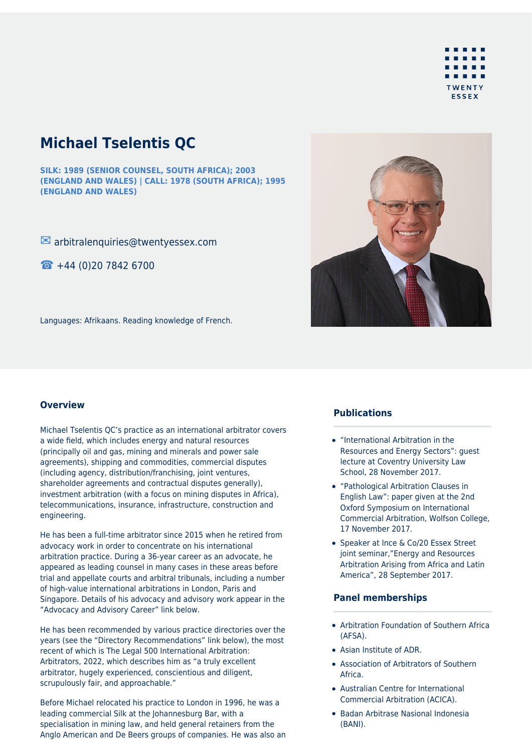

# **Michael Tselentis QC**

**SILK: 1989 (SENIOR COUNSEL, SOUTH AFRICA); 2003 (ENGLAND AND WALES) | CALL: 1978 (SOUTH AFRICA); 1995 (ENGLAND AND WALES)**

 $\blacksquare$  arbitralenquiries@twentyessex.com

☎ +44 (0)20 7842 6700



Languages: Afrikaans. Reading knowledge of French.

## **Overview**

Michael Tselentis QC's practice as an international arbitrator covers a wide field, which includes energy and natural resources (principally oil and gas, mining and minerals and power sale agreements), shipping and commodities, commercial disputes (including agency, distribution/franchising, joint ventures, shareholder agreements and contractual disputes generally), investment arbitration (with a focus on mining disputes in Africa), telecommunications, insurance, infrastructure, construction and engineering.

He has been a full-time arbitrator since 2015 when he retired from advocacy work in order to concentrate on his international arbitration practice. During a 36-year career as an advocate, he appeared as leading counsel in many cases in these areas before trial and appellate courts and arbitral tribunals, including a number of high-value international arbitrations in London, Paris and Singapore. Details of his advocacy and advisory work appear in the "Advocacy and Advisory Career" link below.

He has been recommended by various practice directories over the years (see the "Directory Recommendations" link below), the most recent of which is The Legal 500 International Arbitration: Arbitrators, 2022, which describes him as "a truly excellent arbitrator, hugely experienced, conscientious and diligent, scrupulously fair, and approachable."

Before Michael relocated his practice to London in 1996, he was a leading commercial Silk at the Johannesburg Bar, with a specialisation in mining law, and held general retainers from the Anglo American and De Beers groups of companies. He was also an

## **Publications**

- "International Arbitration in the Resources and Energy Sectors": guest lecture at Coventry University Law School, 28 November 2017.
- "Pathological Arbitration Clauses in English Law": paper given at the 2nd Oxford Symposium on International Commercial Arbitration, Wolfson College, 17 November 2017.
- Speaker at Ince & Co/20 Essex Street joint seminar,"Energy and Resources Arbitration Arising from Africa and Latin America", 28 September 2017.

#### **Panel memberships**

- Arbitration Foundation of Southern Africa (AFSA).
- Asian Institute of ADR.
- Association of Arbitrators of Southern Africa.
- Australian Centre for International Commercial Arbitration (ACICA).
- Badan Arbitrase Nasional Indonesia (BANI).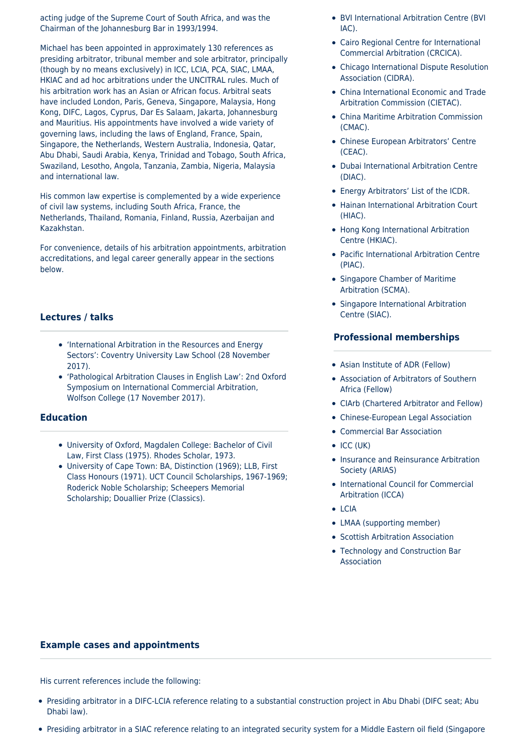acting judge of the Supreme Court of South Africa, and was the Chairman of the Johannesburg Bar in 1993/1994.

Michael has been appointed in approximately 130 references as presiding arbitrator, tribunal member and sole arbitrator, principally (though by no means exclusively) in ICC, LCIA, PCA, SIAC, LMAA, HKIAC and ad hoc arbitrations under the UNCITRAL rules. Much of his arbitration work has an Asian or African focus. Arbitral seats have included London, Paris, Geneva, Singapore, Malaysia, Hong Kong, DIFC, Lagos, Cyprus, Dar Es Salaam, Jakarta, Johannesburg and Mauritius. His appointments have involved a wide variety of governing laws, including the laws of England, France, Spain, Singapore, the Netherlands, Western Australia, Indonesia, Qatar, Abu Dhabi, Saudi Arabia, Kenya, Trinidad and Tobago, South Africa, Swaziland, Lesotho, Angola, Tanzania, Zambia, Nigeria, Malaysia and international law.

His common law expertise is complemented by a wide experience of civil law systems, including South Africa, France, the Netherlands, Thailand, Romania, Finland, Russia, Azerbaijan and Kazakhstan.

For convenience, details of his arbitration appointments, arbitration accreditations, and legal career generally appear in the sections below.

# **Lectures / talks**

- 'International Arbitration in the Resources and Energy Sectors': Coventry University Law School (28 November 2017).
- 'Pathological Arbitration Clauses in English Law': 2nd Oxford Symposium on International Commercial Arbitration, Wolfson College (17 November 2017).

## **Education**

- University of Oxford, Magdalen College: Bachelor of Civil Law, First Class (1975). Rhodes Scholar, 1973.
- University of Cape Town: BA, Distinction (1969); LLB, First Class Honours (1971). UCT Council Scholarships, 1967-1969; Roderick Noble Scholarship; Scheepers Memorial Scholarship; Douallier Prize (Classics).
- BVI International Arbitration Centre (BVI  $IAC$ ).
- Cairo Regional Centre for International Commercial Arbitration (CRCICA).
- Chicago International Dispute Resolution Association (CIDRA).
- China International Economic and Trade Arbitration Commission (CIETAC).
- China Maritime Arbitration Commission (CMAC).
- Chinese European Arbitrators' Centre (CEAC).
- Dubai International Arbitration Centre (DIAC).
- Energy Arbitrators' List of the ICDR.
- Hainan International Arbitration Court (HIAC).
- Hong Kong International Arbitration Centre (HKIAC).
- Pacific International Arbitration Centre (PIAC).
- Singapore Chamber of Maritime Arbitration (SCMA).
- Singapore International Arbitration Centre (SIAC).

# **Professional memberships**

- Asian Institute of ADR (Fellow)
- Association of Arbitrators of Southern Africa (Fellow)
- CIArb (Chartered Arbitrator and Fellow)
- Chinese-European Legal Association
- Commercial Bar Association
- $\bullet$  ICC (UK)
- Insurance and Reinsurance Arbitration Society (ARIAS)
- International Council for Commercial Arbitration (ICCA)
- LCIA
- LMAA (supporting member)
- Scottish Arbitration Association
- Technology and Construction Bar Association

## **Example cases and appointments**

His current references include the following:

- Presiding arbitrator in a DIFC-LCIA reference relating to a substantial construction project in Abu Dhabi (DIFC seat; Abu Dhabi law).
- Presiding arbitrator in a SIAC reference relating to an integrated security system for a Middle Eastern oil field (Singapore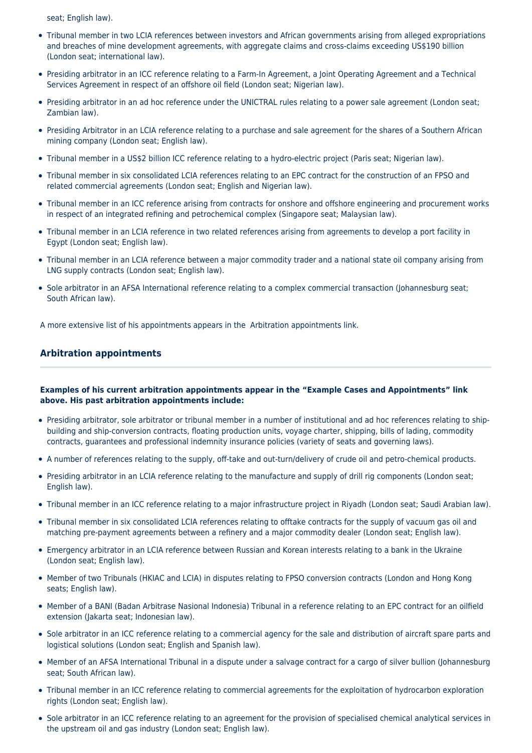seat; English law).

- Tribunal member in two LCIA references between investors and African governments arising from alleged expropriations and breaches of mine development agreements, with aggregate claims and cross-claims exceeding US\$190 billion (London seat; international law).
- Presiding arbitrator in an ICC reference relating to a Farm-In Agreement, a Joint Operating Agreement and a Technical Services Agreement in respect of an offshore oil field (London seat; Nigerian law).
- Presiding arbitrator in an ad hoc reference under the UNICTRAL rules relating to a power sale agreement (London seat; Zambian law).
- Presiding Arbitrator in an LCIA reference relating to a purchase and sale agreement for the shares of a Southern African mining company (London seat; English law).
- Tribunal member in a US\$2 billion ICC reference relating to a hydro-electric project (Paris seat; Nigerian law).
- Tribunal member in six consolidated LCIA references relating to an EPC contract for the construction of an FPSO and related commercial agreements (London seat; English and Nigerian law).
- Tribunal member in an ICC reference arising from contracts for onshore and offshore engineering and procurement works in respect of an integrated refining and petrochemical complex (Singapore seat; Malaysian law).
- Tribunal member in an LCIA reference in two related references arising from agreements to develop a port facility in Egypt (London seat; English law).
- Tribunal member in an LCIA reference between a major commodity trader and a national state oil company arising from LNG supply contracts (London seat; English law).
- Sole arbitrator in an AFSA International reference relating to a complex commercial transaction (Johannesburg seat; South African law).

A more extensive list of his appointments appears in the Arbitration appointments link.

# **Arbitration appointments**

## **Examples of his current arbitration appointments appear in the "Example Cases and Appointments" link above. His past arbitration appointments include:**

- Presiding arbitrator, sole arbitrator or tribunal member in a number of institutional and ad hoc references relating to shipbuilding and ship-conversion contracts, floating production units, voyage charter, shipping, bills of lading, commodity contracts, guarantees and professional indemnity insurance policies (variety of seats and governing laws).
- A number of references relating to the supply, off-take and out-turn/delivery of crude oil and petro-chemical products.
- Presiding arbitrator in an LCIA reference relating to the manufacture and supply of drill rig components (London seat; English law).
- Tribunal member in an ICC reference relating to a major infrastructure project in Riyadh (London seat; Saudi Arabian law).
- Tribunal member in six consolidated LCIA references relating to offtake contracts for the supply of vacuum gas oil and matching pre-payment agreements between a refinery and a major commodity dealer (London seat; English law).
- Emergency arbitrator in an LCIA reference between Russian and Korean interests relating to a bank in the Ukraine (London seat; English law).
- Member of two Tribunals (HKIAC and LCIA) in disputes relating to FPSO conversion contracts (London and Hong Kong seats; English law).
- Member of a BANI (Badan Arbitrase Nasional Indonesia) Tribunal in a reference relating to an EPC contract for an oilfield extension (Jakarta seat; Indonesian law).
- Sole arbitrator in an ICC reference relating to a commercial agency for the sale and distribution of aircraft spare parts and logistical solutions (London seat; English and Spanish law).
- Member of an AFSA International Tribunal in a dispute under a salvage contract for a cargo of silver bullion (Johannesburg seat; South African law).
- Tribunal member in an ICC reference relating to commercial agreements for the exploitation of hydrocarbon exploration rights (London seat; English law).
- Sole arbitrator in an ICC reference relating to an agreement for the provision of specialised chemical analytical services in the upstream oil and gas industry (London seat; English law).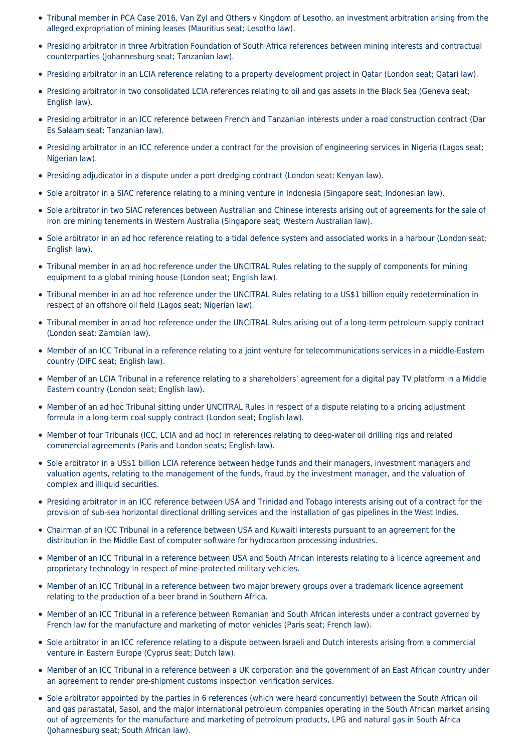- Tribunal member in PCA Case 2016, Van Zyl and Others v Kingdom of Lesotho, an investment arbitration arising from the alleged expropriation of mining leases (Mauritius seat; Lesotho law).
- Presiding arbitrator in three Arbitration Foundation of South Africa references between mining interests and contractual counterparties (Johannesburg seat; Tanzanian law).
- Presiding arbitrator in an LCIA reference relating to a property development project in Qatar (London seat; Qatari law).
- Presiding arbitrator in two consolidated LCIA references relating to oil and gas assets in the Black Sea (Geneva seat; English law).
- Presiding arbitrator in an ICC reference between French and Tanzanian interests under a road construction contract (Dar Es Salaam seat; Tanzanian law).
- Presiding arbitrator in an ICC reference under a contract for the provision of engineering services in Nigeria (Lagos seat; Nigerian law).
- Presiding adjudicator in a dispute under a port dredging contract (London seat; Kenyan law).
- Sole arbitrator in a SIAC reference relating to a mining venture in Indonesia (Singapore seat; Indonesian law).
- Sole arbitrator in two SIAC references between Australian and Chinese interests arising out of agreements for the sale of iron ore mining tenements in Western Australia (Singapore seat; Western Australian law).
- Sole arbitrator in an ad hoc reference relating to a tidal defence system and associated works in a harbour (London seat; English law).
- Tribunal member in an ad hoc reference under the UNCITRAL Rules relating to the supply of components for mining equipment to a global mining house (London seat; English law).
- Tribunal member in an ad hoc reference under the UNCITRAL Rules relating to a US\$1 billion equity redetermination in respect of an offshore oil field (Lagos seat; Nigerian law).
- Tribunal member in an ad hoc reference under the UNCITRAL Rules arising out of a long-term petroleum supply contract (London seat; Zambian law).
- Member of an ICC Tribunal in a reference relating to a joint venture for telecommunications services in a middle-Eastern country (DIFC seat; English law).
- Member of an LCIA Tribunal in a reference relating to a shareholders' agreement for a digital pay TV platform in a Middle Eastern country (London seat; English law).
- Member of an ad hoc Tribunal sitting under UNCITRAL Rules in respect of a dispute relating to a pricing adjustment formula in a long-term coal supply contract (London seat; English law).
- Member of four Tribunals (ICC, LCIA and ad hoc) in references relating to deep-water oil drilling rigs and related commercial agreements (Paris and London seats; English law).
- Sole arbitrator in a US\$1 billion LCIA reference between hedge funds and their managers, investment managers and valuation agents, relating to the management of the funds, fraud by the investment manager, and the valuation of complex and illiquid securities.
- Presiding arbitrator in an ICC reference between USA and Trinidad and Tobago interests arising out of a contract for the provision of sub-sea horizontal directional drilling services and the installation of gas pipelines in the West Indies.
- Chairman of an ICC Tribunal in a reference between USA and Kuwaiti interests pursuant to an agreement for the distribution in the Middle East of computer software for hydrocarbon processing industries.
- Member of an ICC Tribunal in a reference between USA and South African interests relating to a licence agreement and proprietary technology in respect of mine-protected military vehicles.
- Member of an ICC Tribunal in a reference between two major brewery groups over a trademark licence agreement relating to the production of a beer brand in Southern Africa.
- Member of an ICC Tribunal in a reference between Romanian and South African interests under a contract governed by French law for the manufacture and marketing of motor vehicles (Paris seat; French law).
- Sole arbitrator in an ICC reference relating to a dispute between Israeli and Dutch interests arising from a commercial venture in Eastern Europe (Cyprus seat; Dutch law).
- Member of an ICC Tribunal in a reference between a UK corporation and the government of an East African country under an agreement to render pre-shipment customs inspection verification services.
- Sole arbitrator appointed by the parties in 6 references (which were heard concurrently) between the South African oil and gas parastatal, Sasol, and the major international petroleum companies operating in the South African market arising out of agreements for the manufacture and marketing of petroleum products, LPG and natural gas in South Africa (Johannesburg seat; South African law).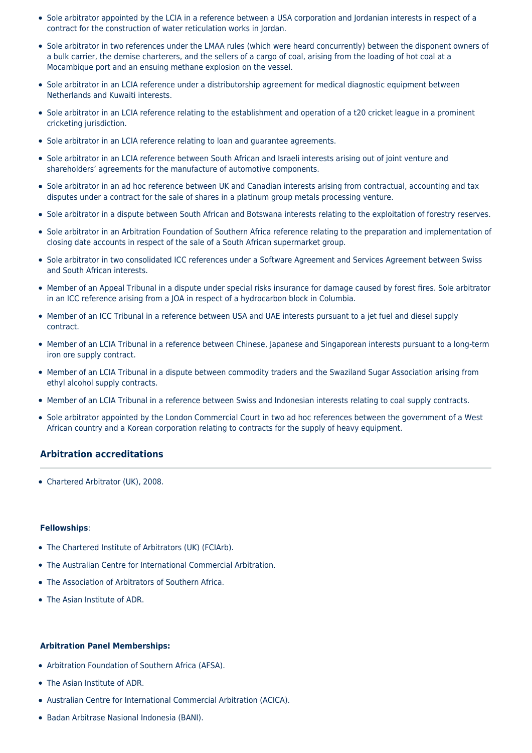- Sole arbitrator appointed by the LCIA in a reference between a USA corporation and Jordanian interests in respect of a contract for the construction of water reticulation works in Jordan.
- Sole arbitrator in two references under the LMAA rules (which were heard concurrently) between the disponent owners of a bulk carrier, the demise charterers, and the sellers of a cargo of coal, arising from the loading of hot coal at a Mocambique port and an ensuing methane explosion on the vessel.
- Sole arbitrator in an LCIA reference under a distributorship agreement for medical diagnostic equipment between Netherlands and Kuwaiti interests.
- Sole arbitrator in an LCIA reference relating to the establishment and operation of a t20 cricket league in a prominent cricketing jurisdiction.
- Sole arbitrator in an LCIA reference relating to loan and guarantee agreements.
- Sole arbitrator in an LCIA reference between South African and Israeli interests arising out of joint venture and shareholders' agreements for the manufacture of automotive components.
- Sole arbitrator in an ad hoc reference between UK and Canadian interests arising from contractual, accounting and tax disputes under a contract for the sale of shares in a platinum group metals processing venture.
- Sole arbitrator in a dispute between South African and Botswana interests relating to the exploitation of forestry reserves.
- Sole arbitrator in an Arbitration Foundation of Southern Africa reference relating to the preparation and implementation of closing date accounts in respect of the sale of a South African supermarket group.
- Sole arbitrator in two consolidated ICC references under a Software Agreement and Services Agreement between Swiss and South African interests.
- Member of an Appeal Tribunal in a dispute under special risks insurance for damage caused by forest fires. Sole arbitrator in an ICC reference arising from a JOA in respect of a hydrocarbon block in Columbia.
- Member of an ICC Tribunal in a reference between USA and UAE interests pursuant to a jet fuel and diesel supply contract.
- Member of an LCIA Tribunal in a reference between Chinese, Japanese and Singaporean interests pursuant to a long-term iron ore supply contract.
- Member of an LCIA Tribunal in a dispute between commodity traders and the Swaziland Sugar Association arising from ethyl alcohol supply contracts.
- Member of an LCIA Tribunal in a reference between Swiss and Indonesian interests relating to coal supply contracts.
- Sole arbitrator appointed by the London Commercial Court in two ad hoc references between the government of a West African country and a Korean corporation relating to contracts for the supply of heavy equipment.

# **Arbitration accreditations**

• Chartered Arbitrator (UK), 2008.

#### **Fellowships**:

- The Chartered Institute of Arbitrators (UK) (FCIArb).
- The Australian Centre for International Commercial Arbitration.
- The Association of Arbitrators of Southern Africa.
- The Asian Institute of ADR.

#### **Arbitration Panel Memberships:**

- Arbitration Foundation of Southern Africa (AFSA).
- The Asian Institute of ADR.
- Australian Centre for International Commercial Arbitration (ACICA).
- Badan Arbitrase Nasional Indonesia (BANI).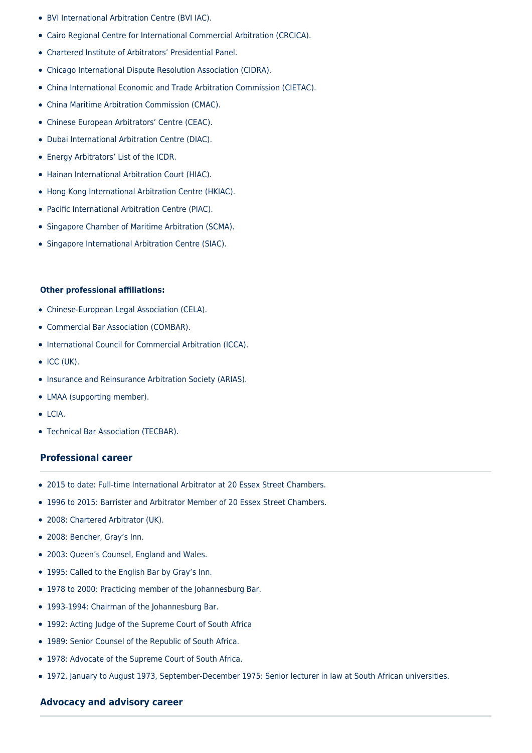- BVI International Arbitration Centre (BVI IAC).
- Cairo Regional Centre for International Commercial Arbitration (CRCICA).
- Chartered Institute of Arbitrators' Presidential Panel.
- Chicago International Dispute Resolution Association (CIDRA).
- China International Economic and Trade Arbitration Commission (CIETAC).
- China Maritime Arbitration Commission (CMAC).
- Chinese European Arbitrators' Centre (CEAC).
- Dubai International Arbitration Centre (DIAC).
- Energy Arbitrators' List of the ICDR.
- Hainan International Arbitration Court (HIAC).
- Hong Kong International Arbitration Centre (HKIAC).
- Pacific International Arbitration Centre (PIAC).
- Singapore Chamber of Maritime Arbitration (SCMA).
- Singapore International Arbitration Centre (SIAC).

## **Other professional affiliations:**

- Chinese-European Legal Association (CELA).
- Commercial Bar Association (COMBAR).
- International Council for Commercial Arbitration (ICCA).
- $\bullet$  ICC (UK).
- Insurance and Reinsurance Arbitration Society (ARIAS).
- LMAA (supporting member).
- LCIA.
- Technical Bar Association (TECBAR).

# **Professional career**

- 2015 to date: Full-time International Arbitrator at 20 Essex Street Chambers.
- 1996 to 2015: Barrister and Arbitrator Member of 20 Essex Street Chambers.
- 2008: Chartered Arbitrator (UK).
- 2008: Bencher, Gray's Inn.
- 2003: Queen's Counsel, England and Wales.
- 1995: Called to the English Bar by Gray's Inn.
- 1978 to 2000: Practicing member of the Johannesburg Bar.
- 1993-1994: Chairman of the Johannesburg Bar.
- 1992: Acting Judge of the Supreme Court of South Africa
- 1989: Senior Counsel of the Republic of South Africa.
- 1978: Advocate of the Supreme Court of South Africa.
- 1972, January to August 1973, September-December 1975: Senior lecturer in law at South African universities.

# **Advocacy and advisory career**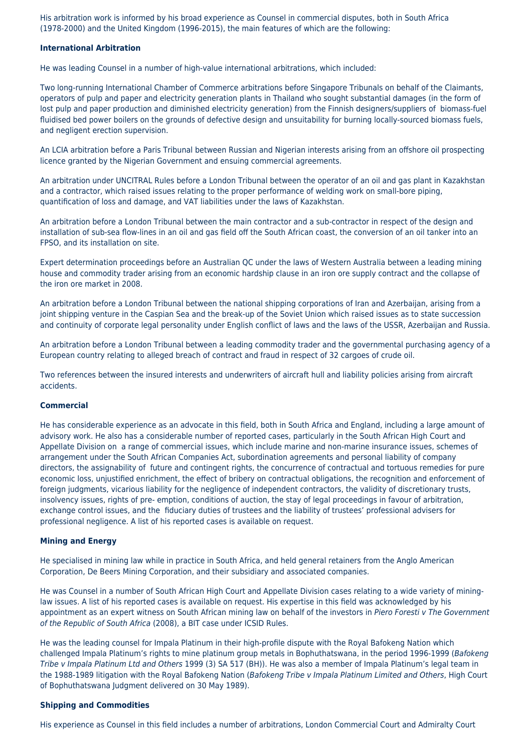His arbitration work is informed by his broad experience as Counsel in commercial disputes, both in South Africa (1978-2000) and the United Kingdom (1996-2015), the main features of which are the following:

#### **International Arbitration**

He was leading Counsel in a number of high-value international arbitrations, which included:

Two long-running International Chamber of Commerce arbitrations before Singapore Tribunals on behalf of the Claimants, operators of pulp and paper and electricity generation plants in Thailand who sought substantial damages (in the form of lost pulp and paper production and diminished electricity generation) from the Finnish designers/suppliers of biomass-fuel fluidised bed power boilers on the grounds of defective design and unsuitability for burning locally-sourced biomass fuels, and negligent erection supervision.

An LCIA arbitration before a Paris Tribunal between Russian and Nigerian interests arising from an offshore oil prospecting licence granted by the Nigerian Government and ensuing commercial agreements.

An arbitration under UNCITRAL Rules before a London Tribunal between the operator of an oil and gas plant in Kazakhstan and a contractor, which raised issues relating to the proper performance of welding work on small-bore piping, quantification of loss and damage, and VAT liabilities under the laws of Kazakhstan.

An arbitration before a London Tribunal between the main contractor and a sub-contractor in respect of the design and installation of sub-sea flow-lines in an oil and gas field off the South African coast, the conversion of an oil tanker into an FPSO, and its installation on site.

Expert determination proceedings before an Australian QC under the laws of Western Australia between a leading mining house and commodity trader arising from an economic hardship clause in an iron ore supply contract and the collapse of the iron ore market in 2008.

An arbitration before a London Tribunal between the national shipping corporations of Iran and Azerbaijan, arising from a joint shipping venture in the Caspian Sea and the break-up of the Soviet Union which raised issues as to state succession and continuity of corporate legal personality under English conflict of laws and the laws of the USSR, Azerbaijan and Russia.

An arbitration before a London Tribunal between a leading commodity trader and the governmental purchasing agency of a European country relating to alleged breach of contract and fraud in respect of 32 cargoes of crude oil.

Two references between the insured interests and underwriters of aircraft hull and liability policies arising from aircraft accidents.

#### **Commercial**

He has considerable experience as an advocate in this field, both in South Africa and England, including a large amount of advisory work. He also has a considerable number of reported cases, particularly in the South African High Court and Appellate Division on a range of commercial issues, which include marine and non-marine insurance issues, schemes of arrangement under the South African Companies Act, subordination agreements and personal liability of company directors, the assignability of future and contingent rights, the concurrence of contractual and tortuous remedies for pure economic loss, unjustified enrichment, the effect of bribery on contractual obligations, the recognition and enforcement of foreign judgments, vicarious liability for the negligence of independent contractors, the validity of discretionary trusts, insolvency issues, rights of pre- emption, conditions of auction, the stay of legal proceedings in favour of arbitration, exchange control issues, and the fiduciary duties of trustees and the liability of trustees' professional advisers for professional negligence. A list of his reported cases is available on request.

#### **Mining and Energy**

He specialised in mining law while in practice in South Africa, and held general retainers from the Anglo American Corporation, De Beers Mining Corporation, and their subsidiary and associated companies.

He was Counsel in a number of South African High Court and Appellate Division cases relating to a wide variety of mininglaw issues. A list of his reported cases is available on request. His expertise in this field was acknowledged by his appointment as an expert witness on South African mining law on behalf of the investors in Piero Foresti v The Government of the Republic of South Africa (2008), a BIT case under ICSID Rules.

He was the leading counsel for Impala Platinum in their high-profile dispute with the Royal Bafokeng Nation which challenged Impala Platinum's rights to mine platinum group metals in Bophuthatswana, in the period 1996-1999 (Bafokeng Tribe v Impala Platinum Ltd and Others 1999 (3) SA 517 (BH)). He was also a member of Impala Platinum's legal team in the 1988-1989 litigation with the Royal Bafokeng Nation (Bafokeng Tribe v Impala Platinum Limited and Others, High Court of Bophuthatswana Judgment delivered on 30 May 1989).

#### **Shipping and Commodities**

His experience as Counsel in this field includes a number of arbitrations, London Commercial Court and Admiralty Court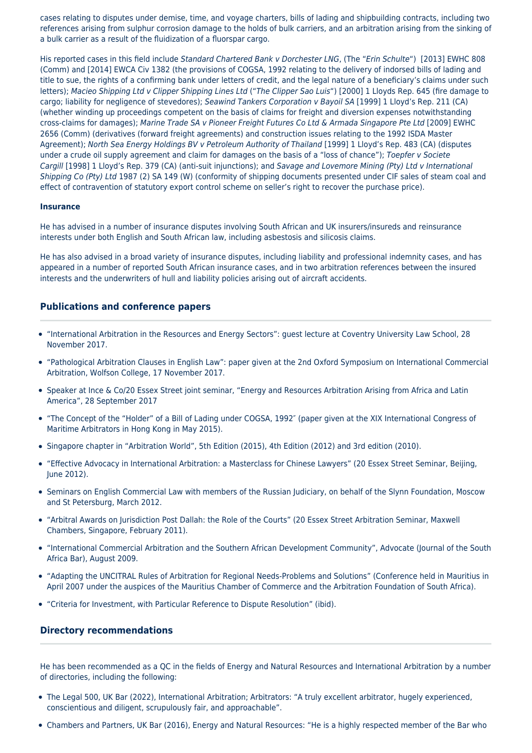cases relating to disputes under demise, time, and voyage charters, bills of lading and shipbuilding contracts, including two references arising from sulphur corrosion damage to the holds of bulk carriers, and an arbitration arising from the sinking of a bulk carrier as a result of the fluidization of a fluorspar cargo.

His reported cases in this field include Standard Chartered Bank v Dorchester LNG, (The "Erin Schulte") [2013] EWHC 808 (Comm) and [2014] EWCA Civ 1382 (the provisions of COGSA, 1992 relating to the delivery of indorsed bills of lading and title to sue, the rights of a confirming bank under letters of credit, and the legal nature of a beneficiary's claims under such letters); Macieo Shipping Ltd v Clipper Shipping Lines Ltd ("The Clipper Sao Luis") [2000] 1 Lloyds Rep. 645 (fire damage to cargo; liability for negligence of stevedores); Seawind Tankers Corporation v Bayoil SA [1999] 1 Lloyd's Rep. 211 (CA) (whether winding up proceedings competent on the basis of claims for freight and diversion expenses notwithstanding cross-claims for damages); Marine Trade SA v Pioneer Freight Futures Co Ltd & Armada Singapore Pte Ltd [2009] EWHC 2656 (Comm) (derivatives (forward freight agreements) and construction issues relating to the 1992 ISDA Master Agreement); North Sea Energy Holdings BV v Petroleum Authority of Thailand [1999] 1 Lloyd's Rep. 483 (CA) (disputes under a crude oil supply agreement and claim for damages on the basis of a "loss of chance"); Toepfer v Societe Cargill [1998] 1 Lloyd's Rep. 379 (CA) (anti-suit injunctions); and Savage and Lovemore Mining (Pty) Ltd v International Shipping Co (Pty) Ltd 1987 (2) SA 149 (W) (conformity of shipping documents presented under CIF sales of steam coal and effect of contravention of statutory export control scheme on seller's right to recover the purchase price).

#### **Insurance**

He has advised in a number of insurance disputes involving South African and UK insurers/insureds and reinsurance interests under both English and South African law, including asbestosis and silicosis claims.

He has also advised in a broad variety of insurance disputes, including liability and professional indemnity cases, and has appeared in a number of reported South African insurance cases, and in two arbitration references between the insured interests and the underwriters of hull and liability policies arising out of aircraft accidents.

## **Publications and conference papers**

- "International Arbitration in the Resources and Energy Sectors": guest lecture at Coventry University Law School, 28 November 2017.
- "Pathological Arbitration Clauses in English Law": paper given at the 2nd Oxford Symposium on International Commercial Arbitration, Wolfson College, 17 November 2017.
- Speaker at Ince & Co/20 Essex Street joint seminar, "Energy and Resources Arbitration Arising from Africa and Latin America", 28 September 2017
- "The Concept of the "Holder" of a Bill of Lading under COGSA, 1992″ (paper given at the XIX International Congress of Maritime Arbitrators in Hong Kong in May 2015).
- Singapore chapter in "Arbitration World", 5th Edition (2015), 4th Edition (2012) and 3rd edition (2010).
- "Effective Advocacy in International Arbitration: a Masterclass for Chinese Lawyers" (20 Essex Street Seminar, Beijing, June 2012).
- Seminars on English Commercial Law with members of the Russian Judiciary, on behalf of the Slynn Foundation, Moscow and St Petersburg, March 2012.
- "Arbitral Awards on Jurisdiction Post Dallah: the Role of the Courts" (20 Essex Street Arbitration Seminar, Maxwell Chambers, Singapore, February 2011).
- "International Commercial Arbitration and the Southern African Development Community", Advocate (Journal of the South Africa Bar), August 2009.
- "Adapting the UNCITRAL Rules of Arbitration for Regional Needs-Problems and Solutions" (Conference held in Mauritius in April 2007 under the auspices of the Mauritius Chamber of Commerce and the Arbitration Foundation of South Africa).
- "Criteria for Investment, with Particular Reference to Dispute Resolution" (ibid).

#### **Directory recommendations**

He has been recommended as a QC in the fields of Energy and Natural Resources and International Arbitration by a number of directories, including the following:

- The Legal 500, UK Bar (2022), International Arbitration; Arbitrators: "A truly excellent arbitrator, hugely experienced, conscientious and diligent, scrupulously fair, and approachable".
- Chambers and Partners, UK Bar (2016), Energy and Natural Resources: "He is a highly respected member of the Bar who